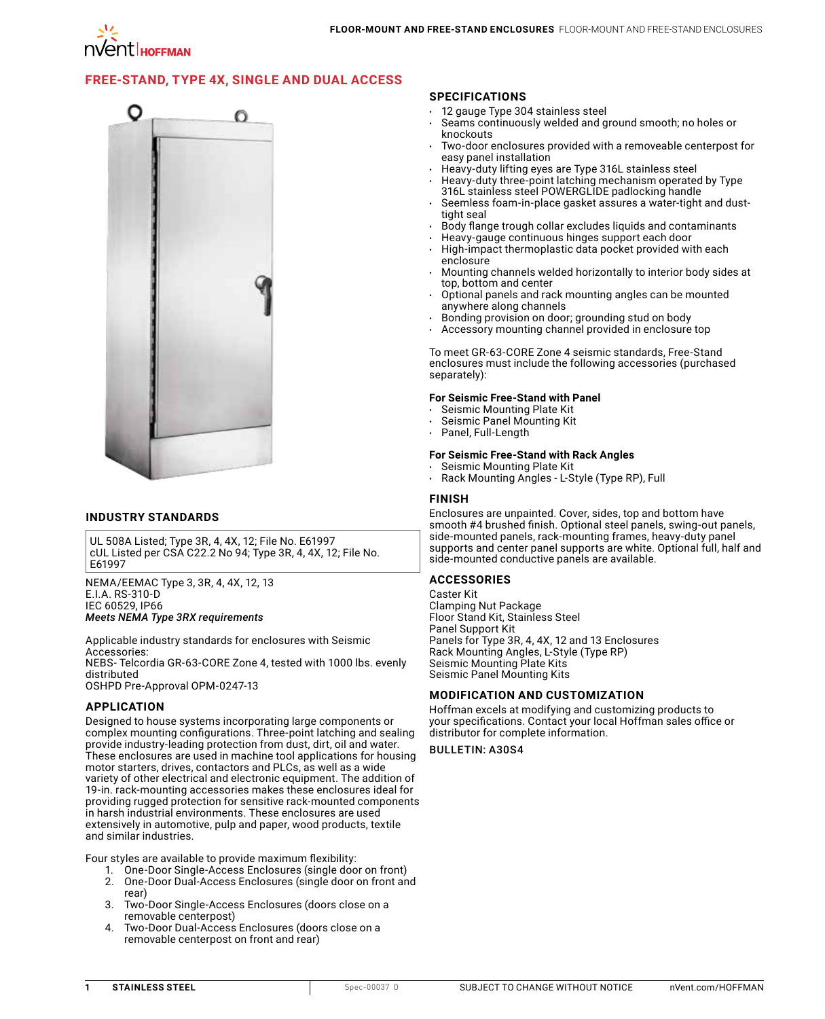# **[FREE-STAND, TYPE 4X, SINGLE](http://hoffman.nvent.com/en/hoffman/Free-Stand-Single-and-Dual-Access-with-3-Point-Latches-Type-4X) AND DUAL ACCESS**



### **INDUSTRY STANDARDS**

UL 508A Listed; Type 3R, 4, 4X, 12; File No. E61997 cUL Listed per CSA C22.2 No 94; Type 3R, 4, 4X, 12; File No. E61997

NEMA/EEMAC Type 3, 3R, 4, 4X, 12, 13 E.I.A. RS-310-D IEC 60529, IP66 *Meets NEMA Type 3RX requirements*

Applicable industry standards for enclosures with Seismic Accessories:

NEBS- Telcordia GR-63-CORE Zone 4, tested with 1000 lbs. evenly distributed

OSHPD Pre-Approval OPM-0247-13

#### **APPLICATION**

Designed to house systems incorporating large components or complex mounting configurations. Three-point latching and sealing provide industry-leading protection from dust, dirt, oil and water. These enclosures are used in machine tool applications for housing motor starters, drives, contactors and PLCs, as well as a wide variety of other electrical and electronic equipment. The addition of 19-in. rack-mounting accessories makes these enclosures ideal for providing rugged protection for sensitive rack-mounted components in harsh industrial environments. These enclosures are used extensively in automotive, pulp and paper, wood products, textile and similar industries.

Four styles are available to provide maximum flexibility:<br>1. One-Door Single-Access Enclosures (single doo

- 1. One-Door Single-Access Enclosures (single door on front)
- 2. One-Door Dual-Access Enclosures (single door on front and rear)
- 3. Two-Door Single-Access Enclosures (doors close on a removable centerpost)
- 4. Two-Door Dual-Access Enclosures (doors close on a removable centerpost on front and rear)

#### **SPECIFICATIONS**

- 12 gauge Type 304 stainless steel
- Seams continuously welded and ground smooth; no holes or knockouts
- Two-door enclosures provided with a removeable centerpost for easy panel installation
- Heavy-duty lifting eyes are Type 316L stainless steel
- Heavy-duty three-point latching mechanism operated by Type 316L stainless steel POWERGLIDE padlocking handle
- Seemless foam-in-place gasket assures a water-tight and dusttight seal
- Body flange trough collar excludes liquids and contaminants
- Heavy-gauge continuous hinges support each door
- High-impact thermoplastic data pocket provided with each enclosure
- Mounting channels welded horizontally to interior body sides at top, bottom and center
- Optional panels and rack mounting angles can be mounted anywhere along channels
- Bonding provision on door; grounding stud on body
- Accessory mounting channel provided in enclosure top

To meet GR-63-CORE Zone 4 seismic standards, Free-Stand enclosures must include the following accessories (purchased separately):

### **For Seismic Free-Stand with Panel**

- Seismic Mounting Plate Kit
- Seismic Panel Mounting Kit
- Panel, Full-Length

#### **For Seismic Free-Stand with Rack Angles**

- Seismic Mounting Plate Kit
- Rack Mounting Angles L-Style (Type RP), Full

#### **FINISH**

Enclosures are unpainted. Cover, sides, top and bottom have smooth #4 brushed finish. Optional steel panels, swing-out panels, side-mounted panels, rack-mounting frames, heavy-duty panel supports and center panel supports are white. Optional full, half and side-mounted conductive panels are available.

#### **ACCESSORIES**

Caster Kit Clamping Nut Package Floor Stand Kit, Stainless Steel Panel Support Kit Panels for Type 3R, 4, 4X, 12 and 13 Enclosures Rack Mounting Angles, L-Style (Type RP) Seismic Mounting Plate Kits Seismic Panel Mounting Kits

#### **MODIFICATION AND CUSTOMIZATION**

Hoffman excels at modifying and customizing products to your specifications. Contact your local Hoffman sales office or distributor for complete information.

BULLETIN: A30S4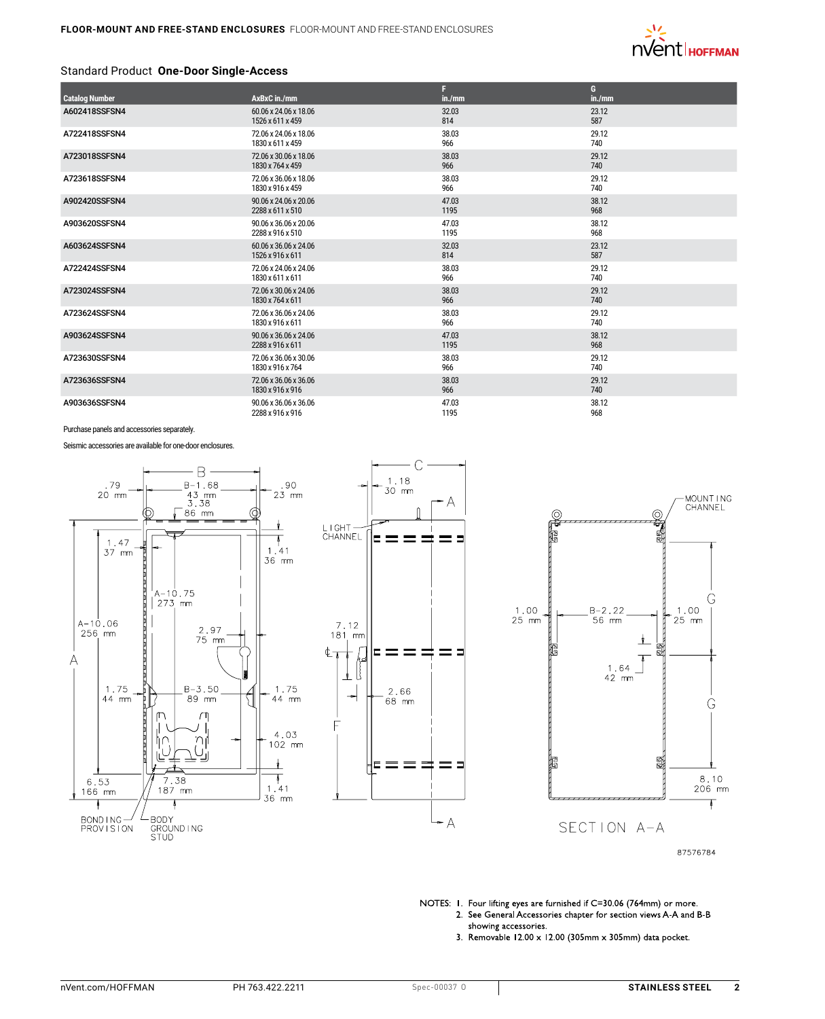

#### Standard Product **One-Door Single-Access**

| <b>Catalog Number</b> | AxBxC in./mm          | F<br>in./mm | G<br>in./mm |
|-----------------------|-----------------------|-------------|-------------|
| A602418SSFSN4         | 60.06 x 24.06 x 18.06 | 32.03       | 23.12       |
|                       | 1526 x 611 x 459      | 814         | 587         |
| A722418SSFSN4         | 72.06 x 24.06 x 18.06 | 38.03       | 29.12       |
|                       | 1830 x 611 x 459      | 966         | 740         |
| A723018SSFSN4         | 72.06 x 30.06 x 18.06 | 38.03       | 29.12       |
|                       | 1830 x 764 x 459      | 966         | 740         |
| A723618SSFSN4         | 72.06 x 36.06 x 18.06 | 38.03       | 29.12       |
|                       | 1830 x 916 x 459      | 966         | 740         |
| A902420SSFSN4         | 90.06 x 24.06 x 20.06 | 47.03       | 38.12       |
|                       | 2288 x 611 x 510      | 1195        | 968         |
| A903620SSFSN4         | 90.06 x 36.06 x 20.06 | 47.03       | 38.12       |
|                       | 2288 x 916 x 510      | 1195        | 968         |
| A603624SSFSN4         | 60.06 x 36.06 x 24.06 | 32.03       | 23.12       |
|                       | 1526 x 916 x 611      | 814         | 587         |
| A722424SSFSN4         | 72.06 x 24.06 x 24.06 | 38.03       | 29.12       |
|                       | 1830 x 611 x 611      | 966         | 740         |
| A723024SSFSN4         | 72.06 x 30.06 x 24.06 | 38.03       | 29.12       |
|                       | 1830 x 764 x 611      | 966         | 740         |
| A723624SSFSN4         | 72.06 x 36.06 x 24.06 | 38.03       | 29.12       |
|                       | 1830 x 916 x 611      | 966         | 740         |
| A903624SSFSN4         | 90.06 x 36.06 x 24.06 | 47.03       | 38.12       |
|                       | 2288 x 916 x 611      | 1195        | 968         |
| A723630SSFSN4         | 72.06 x 36.06 x 30.06 | 38.03       | 29.12       |
|                       | 1830 x 916 x 764      | 966         | 740         |
| A723636SSFSN4         | 72.06 x 36.06 x 36.06 | 38.03       | 29.12       |
|                       | 1830 x 916 x 916      | 966         | 740         |
| A903636SSFSN4         | 90.06 x 36.06 x 36.06 | 47.03       | 38.12       |
|                       | 2288 x 916 x 916      | 1195        | 968         |

Purchase panels and accessories separately.

Seismic accessories are available for one-door enclosures.







87576784

NOTES: 1. Four lifting eyes are furnished if C=30.06 (764mm) or more. 2. See General Accessories chapter for section views A-A and B-B showing accessories.

3. Removable 12.00 x 12.00 (305mm x 305mm) data pocket.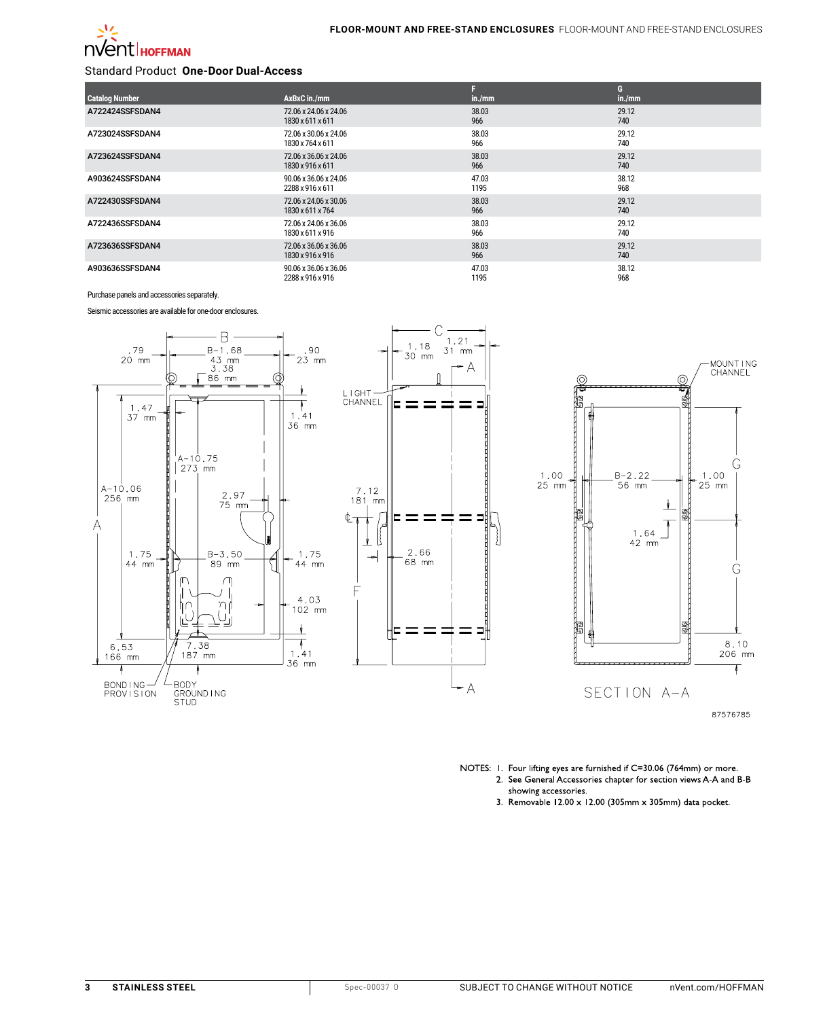

### Standard Product **One-Door Dual-Access**

|                       |                       |        | G      |
|-----------------------|-----------------------|--------|--------|
| <b>Catalog Number</b> | AxBxC in./mm          | in./mm | in./mm |
| A722424SSFSDAN4       | 72.06 x 24.06 x 24.06 | 38.03  | 29.12  |
|                       | 1830 x 611 x 611      | 966    | 740    |
| A723024SSFSDAN4       | 72.06 x 30.06 x 24.06 | 38.03  | 29.12  |
|                       | 1830 x 764 x 611      | 966    | 740    |
| A723624SSFSDAN4       | 72.06 x 36.06 x 24.06 | 38.03  | 29.12  |
|                       | 1830 x 916 x 611      | 966    | 740    |
| A903624SSFSDAN4       | 90.06 x 36.06 x 24.06 | 47.03  | 38.12  |
|                       | 2288 x 916 x 611      | 1195   | 968    |
| A722430SSFSDAN4       | 72.06 x 24.06 x 30.06 | 38.03  | 29.12  |
|                       | 1830 x 611 x 764      | 966    | 740    |
| A722436SSFSDAN4       | 72.06 x 24.06 x 36.06 | 38.03  | 29.12  |
|                       | 1830 x 611 x 916      | 966    | 740    |
| A723636SSFSDAN4       | 72.06 x 36.06 x 36.06 | 38.03  | 29.12  |
|                       | 1830 x 916 x 916      | 966    | 740    |
| A903636SSFSDAN4       | 90.06 x 36.06 x 36.06 | 47.03  | 38.12  |
|                       | 2288 x 916 x 916      | 1195   | 968    |

Purchase panels and accessories separately.

Seismic accessories are available for one-door enclosures.



NOTES: 1. Four lifting eyes are furnished if C=30.06 (764mm) or more. 2. See General Accessories chapter for section views A-A and B-B showing accessories.

3. Removable 12.00 x 12.00 (305mm x 305mm) data pocket.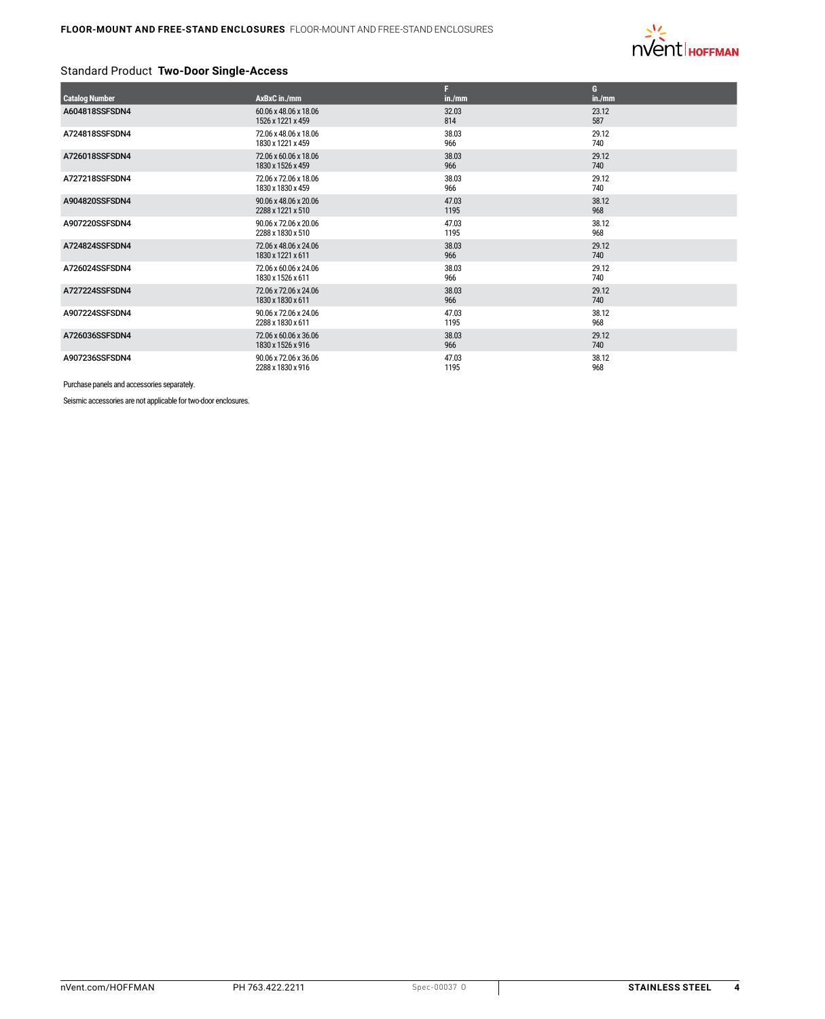

## Standard Product **Two-Door Single-Access**

|                       |                       | F      | G      |
|-----------------------|-----------------------|--------|--------|
| <b>Catalog Number</b> | AxBxC in./mm          | in./mm | in./mm |
| A604818SSFSDN4        | 60.06 x 48.06 x 18.06 | 32.03  | 23.12  |
|                       | 1526 x 1221 x 459     | 814    | 587    |
| A724818SSFSDN4        | 72.06 x 48.06 x 18.06 | 38.03  | 29.12  |
|                       | 1830 x 1221 x 459     | 966    | 740    |
| A726018SSFSDN4        | 72.06 x 60.06 x 18.06 | 38.03  | 29.12  |
|                       | 1830 x 1526 x 459     | 966    | 740    |
| A727218SSFSDN4        | 72.06 x 72.06 x 18.06 | 38.03  | 29.12  |
|                       | 1830 x 1830 x 459     | 966    | 740    |
| A904820SSFSDN4        | 90.06 x 48.06 x 20.06 | 47.03  | 38.12  |
|                       | 2288 x 1221 x 510     | 1195   | 968    |
| A907220SSFSDN4        | 90.06 x 72.06 x 20.06 | 47.03  | 38.12  |
|                       | 2288 x 1830 x 510     | 1195   | 968    |
| A724824SSFSDN4        | 72.06 x 48.06 x 24.06 | 38.03  | 29.12  |
|                       | 1830 x 1221 x 611     | 966    | 740    |
| A726024SSFSDN4        | 72.06 x 60.06 x 24.06 | 38.03  | 29.12  |
|                       | 1830 x 1526 x 611     | 966    | 740    |
| A727224SSFSDN4        | 72.06 x 72.06 x 24.06 | 38.03  | 29.12  |
|                       | 1830 x 1830 x 611     | 966    | 740    |
| A907224SSFSDN4        | 90.06 x 72.06 x 24.06 | 47.03  | 38.12  |
|                       | 2288 x 1830 x 611     | 1195   | 968    |
| A726036SSFSDN4        | 72.06 x 60.06 x 36.06 | 38.03  | 29.12  |
|                       | 1830 x 1526 x 916     | 966    | 740    |
| A907236SSFSDN4        | 90.06 x 72.06 x 36.06 | 47.03  | 38.12  |
|                       | 2288 x 1830 x 916     | 1195   | 968    |

Purchase panels and accessories separately.

Seismic accessories are not applicable for two-door enclosures.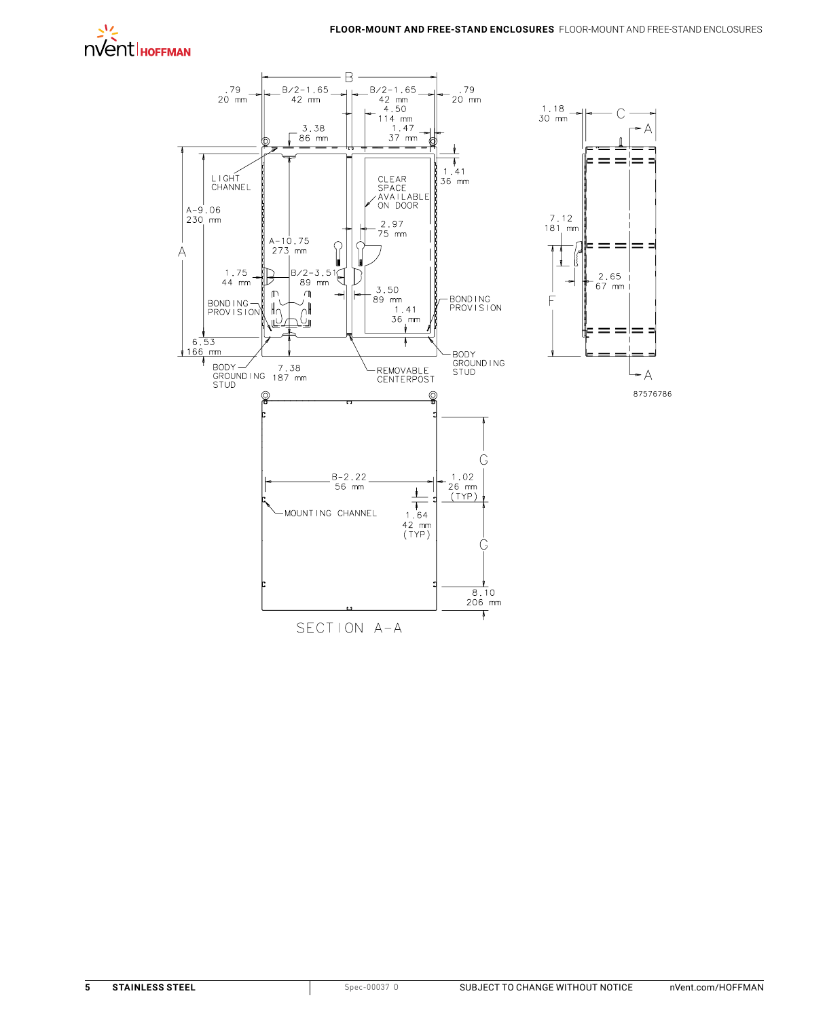



SECTION A-A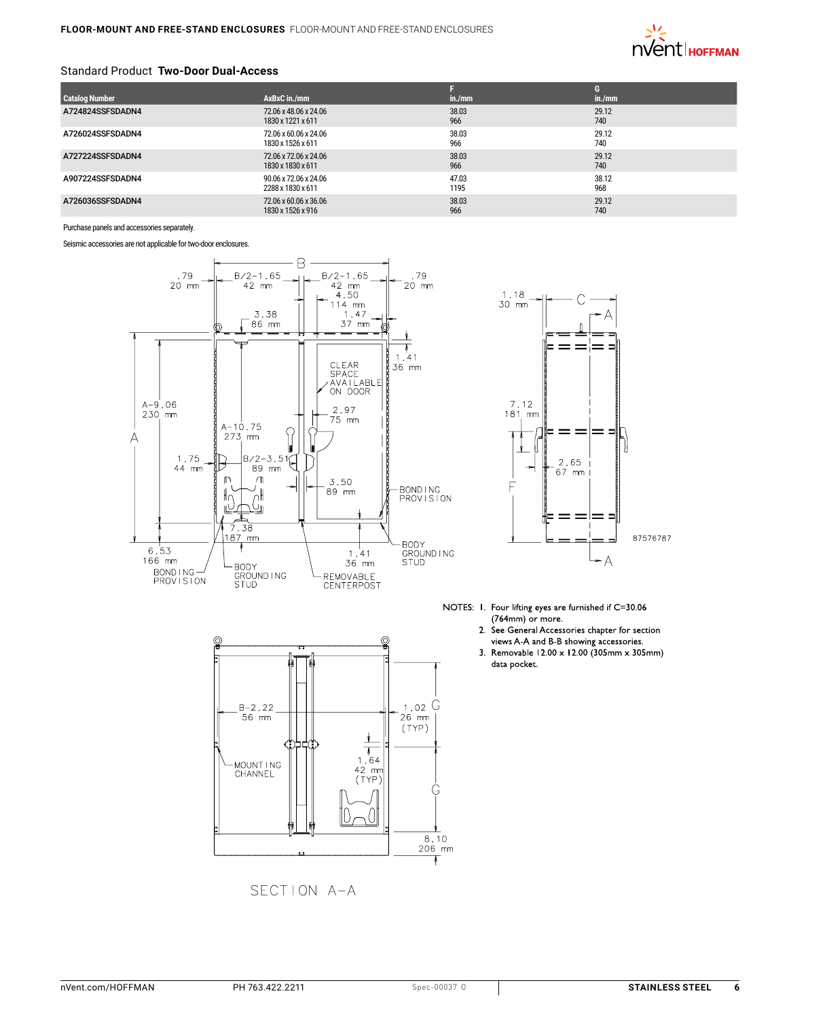

#### Standard Product **Two-Door Dual-Access**

|                       |                       |        | G      |
|-----------------------|-----------------------|--------|--------|
| <b>Catalog Number</b> | AxBxC in./mm          | in./mm | in./mm |
| A724824SSFSDADN4      | 72.06 x 48.06 x 24.06 | 38.03  | 29.12  |
|                       | 1830 x 1221 x 611     | 966    | 740    |
| A726024SSFSDADN4      | 72.06 x 60.06 x 24.06 | 38.03  | 29.12  |
|                       | 1830 x 1526 x 611     | 966    | 740    |
| A727224SSFSDADN4      | 72.06 x 72.06 x 24.06 | 38.03  | 29.12  |
|                       | 1830 x 1830 x 611     | 966    | 740    |
| A907224SSFSDADN4      | 90.06 x 72.06 x 24.06 | 47.03  | 38.12  |
|                       | 2288 x 1830 x 611     | 1195   | 968    |
| A726036SSFSDADN4      | 72.06 x 60.06 x 36.06 | 38.03  | 29.12  |
|                       | 1830 x 1526 x 916     | 966    | 740    |

Purchase panels and accessories separately.

Seismic accessories are not applicable for two-door enclosures.





SECTION A-A



- NOTES: 1. Four lifting eyes are furnished if C=30.06  $(764$ mm) or more.
	- 2. See General Accessories chapter for section views A-A and B-B showing accessories.
	- 3. Removable 12.00 x 12.00 (305mm x 305mm) data pocket.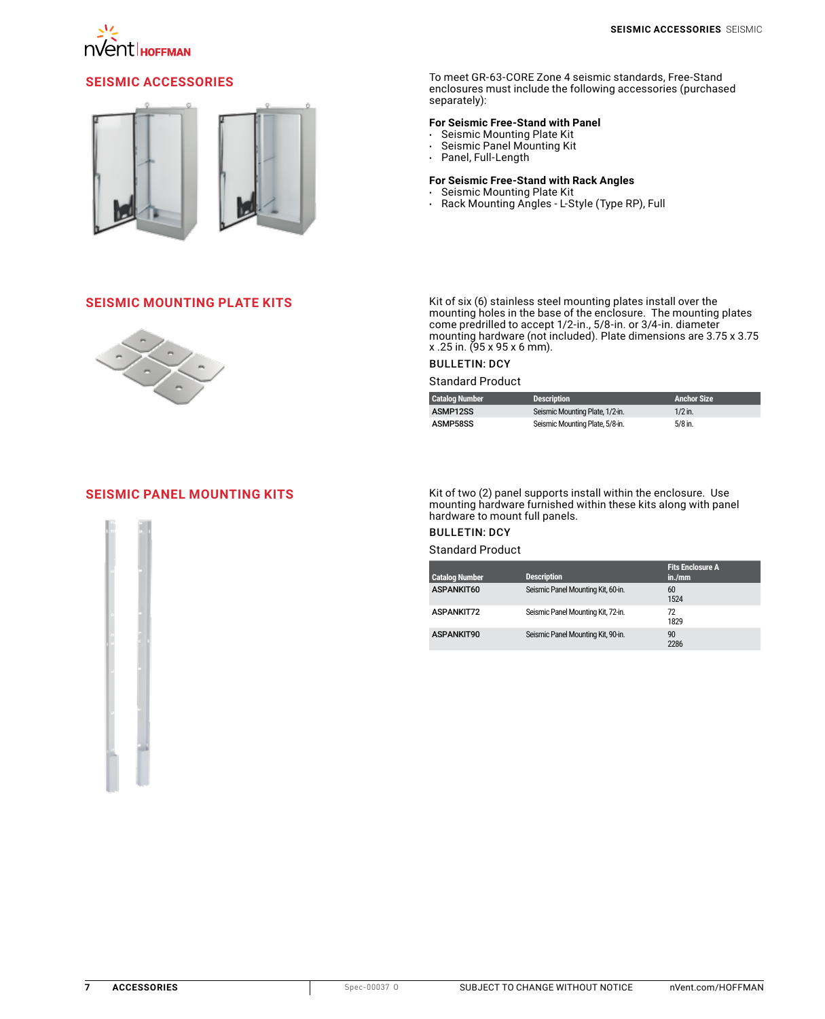



**SEISMIC ACCESSORIES** To meet GR-63-CORE Zone 4 seismic standards, Free-Stand enclosures must include the following accessories (purchased separately):

#### **For Seismic Free-Stand with Panel**

- Seismic Mounting Plate Kit
- Seismic Panel Mounting Kit
- Panel, Full-Length

### **For Seismic Free-Stand with Rack Angles**

- Seismic Mounting Plate Kit
- Rack Mounting Angles L-Style (Type RP), Full



**SEISMIC MOUNTING PLATE KITS**<br>mounting holes in the base of the enclosure. The mounting plates<br>mounting holes in the base of the enclosure. The mounting plates come predrilled to accept 1/2-in., 5/8-in. or 3/4-in. diameter mounting hardware (not included). Plate dimensions are 3.75 x 3.75 x .25 in. (95 x 95 x 6 mm).

## BULLETIN: DCY

Standard Product

| <b>Catalog Number</b> | <b>Description</b>              | <b>Anchor Size</b> |
|-----------------------|---------------------------------|--------------------|
| ASMP12SS              | Seismic Mounting Plate, 1/2-in. | $1/2$ in.          |
| ASMP58SS              | Seismic Mounting Plate, 5/8-in. | 5/8 in.            |



**[SEISMIC PANEL MOUNTING KITS](http://hoffman.nvent.com/en/hoffman/seismic-panel-mounting-kits-436423)** Kit of two (2) panel supports install within the enclosure. Use<br>mounting hardware furnished within these kits along with panel hardware to mount full panels.

# BULLETIN: DCY

Standard Product

| <b>Catalog Number</b> | <b>Description</b>                 | <b>Fits Enclosure A</b><br>in./mm |
|-----------------------|------------------------------------|-----------------------------------|
| ASPANKIT60            | Seismic Panel Mounting Kit, 60-in. | 60<br>1524                        |
| <b>ASPANKIT72</b>     | Seismic Panel Mounting Kit, 72-in. | 72<br>1829                        |
| ASPANKIT90            | Seismic Panel Mounting Kit, 90-in. | 90<br>2286                        |